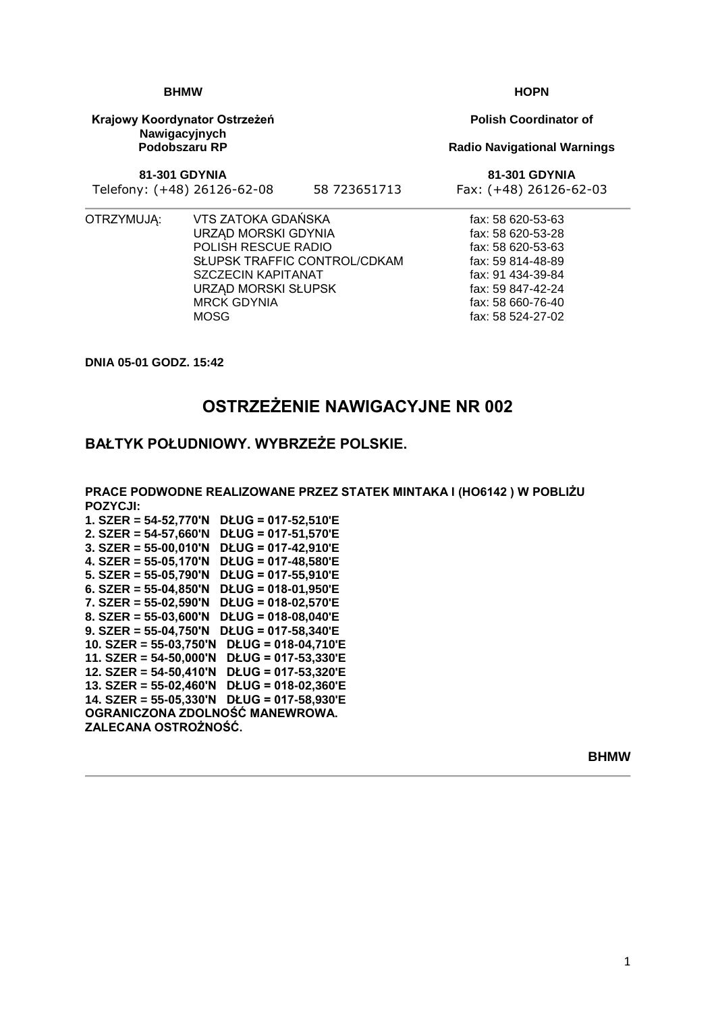#### **BHMW**

**Krajowy Koordynator Ostrzeżeń Nawigacyjnych Podobszaru RP**

**81-301 GDYNIA**

Telefony: (+48) 26126-62-08 58 723651713 Fax: (+48) 26126-62-03

OTRZYMUJĄ: VTS ZATOKA GDAŃSKA URZĄD MORSKI GDYNIA POLISH RESCUE RADIO SŁUPSK TRAFFIC CONTROL/CDKAM SZCZECIN KAPITANAT URZĄD MORSKI SŁUPSK MRCK GDYNIA **MOSG** 

**DNIA 05-01 GODZ. 15:42**

# **OSTRZEŻENIE NAWIGACYJNE NR 002**

### **BAŁTYK POŁUDNIOWY. WYBRZEŻE POLSKIE.**

**PRACE PODWODNE REALIZOWANE PRZEZ STATEK MINTAKA I (HO6142 ) W POBLIŻU POZYCJI: 1. SZER = 54-52,770'N DŁUG = 017-52,510'E 2. SZER = 54-57,660'N DŁUG = 017-51,570'E 3. SZER = 55-00,010'N DŁUG = 017-42,910'E 4. SZER = 55-05,170'N DŁUG = 017-48,580'E 5. SZER = 55-05,790'N DŁUG = 017-55,910'E 6. SZER = 55-04,850'N DŁUG = 018-01,950'E 7. SZER = 55-02,590'N DŁUG = 018-02,570'E 8. SZER = 55-03,600'N DŁUG = 018-08,040'E 9. SZER = 55-04,750'N DŁUG = 017-58,340'E 10. SZER = 55-03,750'N DŁUG = 018-04,710'E 11. SZER = 54-50,000'N DŁUG = 017-53,330'E 12. SZER = 54-50,410'N DŁUG = 017-53,320'E 13. SZER = 55-02,460'N DŁUG = 018-02,360'E 14. SZER = 55-05,330'N DŁUG = 017-58,930'E OGRANICZONA ZDOLNOŚĆ MANEWROWA.**

**ZALECANA OSTROŻNOŚĆ.**

**HOPN**

**Polish Coordinator of**

#### **Radio Navigational Warnings**

**81-301 GDYNIA**

fax: 58 620-53-63 fax: 58 620-53-28 fax: 58 620-53-63 fax: 59 814-48-89 fax: 91 434-39-84 fax: 59 847-42-24 fax: 58 660-76-40 fax: 58 524-27-02

**BHMW**